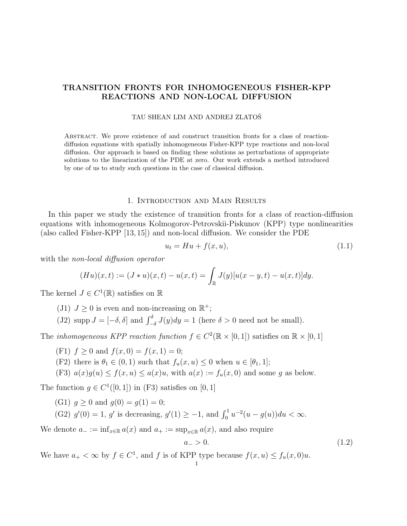# TRANSITION FRONTS FOR INHOMOGENEOUS FISHER-KPP REACTIONS AND NON-LOCAL DIFFUSION

### TAU SHEAN LIM AND ANDREJ ZLATOŠ

Abstract. We prove existence of and construct transition fronts for a class of reactiondiffusion equations with spatially inhomogeneous Fisher-KPP type reactions and non-local diffusion. Our approach is based on finding these solutions as perturbations of appropriate solutions to the linearization of the PDE at zero. Our work extends a method introduced by one of us to study such questions in the case of classical diffusion.

# 1. Introduction and Main Results

In this paper we study the existence of transition fronts for a class of reaction-diffusion equations with inhomogeneous Kolmogorov-Petrovskii-Piskunov (KPP) type nonlinearities (also called Fisher-KPP [13, 15]) and non-local diffusion. We consider the PDE

$$
u_t = Hu + f(x, u),\tag{1.1}
$$

with the *non-local diffusion operator* 

$$
(Hu)(x,t) := (J * u)(x,t) - u(x,t) = \int_{\mathbb{R}} J(y)[u(x-y,t) - u(x,t)]dy.
$$

The kernel  $J \in C^1(\mathbb{R})$  satisfies on  $\mathbb{R}$ 

(J1)  $J \geq 0$  is even and non-increasing on  $\mathbb{R}^+$ ;

(J2) supp  $J = [-\delta, \delta]$  and  $\int_{-\delta}^{\delta} J(y) dy = 1$  (here  $\delta > 0$  need not be small).

The *inhomogeneous KPP reaction function*  $f \in C^2(\mathbb{R} \times [0,1])$  satisfies on  $\mathbb{R} \times [0,1]$ 

- (F1)  $f \ge 0$  and  $f(x, 0) = f(x, 1) = 0$ ;
- (F2) there is  $\theta_1 \in (0,1)$  such that  $f_u(x, u) \leq 0$  when  $u \in [\theta_1, 1]$ ;
- (F3)  $a(x)g(u) \le f(x, u) \le a(x)u$ , with  $a(x) := f_u(x, 0)$  and some g as below.

The function  $g \in C^1([0,1])$  in (F3) satisfies on [0, 1]

(G1)  $q > 0$  and  $q(0) = q(1) = 0$ ;

(G2)  $g'(0) = 1$ , g' is decreasing,  $g'(1) \ge -1$ , and  $\int_0^1 u^{-2}(u - g(u))du < \infty$ .

We denote  $a_- := \inf_{x \in \mathbb{R}} a(x)$  and  $a_+ := \sup_{x \in \mathbb{R}} a(x)$ , and also require

$$
a_{-} > 0. \tag{1.2}
$$

We have  $a_+ < \infty$  by  $f \in C^1$ , and f is of KPP type because  $f(x, u) \le f_u(x, 0)u$ .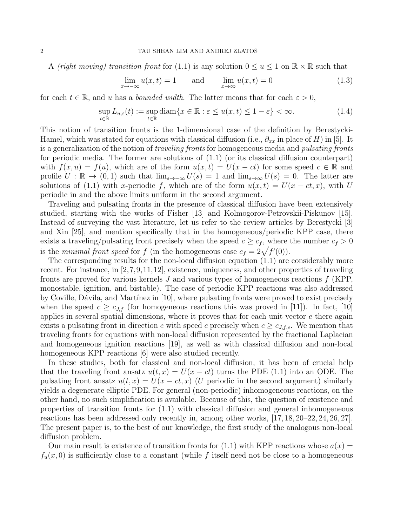A *(right moving) transition front* for (1.1) is any solution  $0 \le u \le 1$  on  $\mathbb{R} \times \mathbb{R}$  such that

$$
\lim_{x \to -\infty} u(x, t) = 1 \quad \text{and} \quad \lim_{x \to \infty} u(x, t) = 0 \tag{1.3}
$$

for each  $t \in \mathbb{R}$ , and u has a *bounded width*. The latter means that for each  $\varepsilon > 0$ ,

$$
\sup_{t \in \mathbb{R}} L_{u,\varepsilon}(t) := \sup_{t \in \mathbb{R}} \text{diam}\{x \in \mathbb{R} : \varepsilon \le u(x,t) \le 1 - \varepsilon\} < \infty. \tag{1.4}
$$

This notion of transition fronts is the 1-dimensional case of the definition by Berestycki-Hamel, which was stated for equations with classical diffusion (i.e.,  $\partial_{xx}$  in place of H) in [5]. It is a generalization of the notion of traveling fronts for homogeneous media and pulsating fronts for periodic media. The former are solutions of (1.1) (or its classical diffusion counterpart) with  $f(x, u) = f(u)$ , which are of the form  $u(x, t) = U(x - ct)$  for some speed  $c \in \mathbb{R}$  and profile  $U : \mathbb{R} \to (0, 1)$  such that  $\lim_{s\to\infty} U(s) = 1$  and  $\lim_{s\to\infty} U(s) = 0$ . The latter are solutions of (1.1) with x-periodic f, which are of the form  $u(x,t) = U(x - ct, x)$ , with U periodic in and the above limits uniform in the second argument.

Traveling and pulsating fronts in the presence of classical diffusion have been extensively studied, starting with the works of Fisher [13] and Kolmogorov-Petrovskii-Piskunov [15]. Instead of surveying the vast literature, let us refer to the review articles by Berestycki [3] and Xin [25], and mention specifically that in the homogeneous/periodic KPP case, there exists a traveling/pulsating front precisely when the speed  $c \geq c_f$ , where the number  $c_f > 0$ is the minimal front speed for f (in the homogeneous case  $c_f = 2\sqrt{f'(0)}$ ).

The corresponding results for the non-local diffusion equation (1.1) are considerably more recent. For instance, in [2,7,9,11,12], existence, uniqueness, and other properties of traveling fronts are proved for various kernels  $J$  and various types of homogeneous reactions  $f$  (KPP, monostable, ignition, and bistable). The case of periodic KPP reactions was also addressed by Coville, Dávila, and Martínez in [10], where pulsating fronts were proved to exist precisely when the speed  $c \geq c_{J,f}$  (for homogeneous reactions this was proved in [11]). In fact, [10] applies in several spatial dimensions, where it proves that for each unit vector  $e$  there again exists a pulsating front in direction e with speed c precisely when  $c \geq c_{J,f,e}$ . We mention that traveling fronts for equations with non-local diffusion represented by the fractional Laplacian and homogeneous ignition reactions [19], as well as with classical diffusion and non-local homogeneous KPP reactions [6] were also studied recently.

In these studies, both for classical and non-local diffusion, it has been of crucial help that the traveling front ansatz  $u(t, x) = U(x - ct)$  turns the PDE (1.1) into an ODE. The pulsating front ansatz  $u(t, x) = U(x - ct, x)$  (U periodic in the second argument) similarly yields a degenerate elliptic PDE. For general (non-periodic) inhomogeneous reactions, on the other hand, no such simplification is available. Because of this, the question of existence and properties of transition fronts for (1.1) with classical diffusion and general inhomogeneous reactions has been addressed only recently in, among other works, [17, 18, 20–22, 24, 26, 27]. The present paper is, to the best of our knowledge, the first study of the analogous non-local diffusion problem.

Our main result is existence of transition fronts for (1.1) with KPP reactions whose  $a(x)$  $f_u(x, 0)$  is sufficiently close to a constant (while f itself need not be close to a homogeneous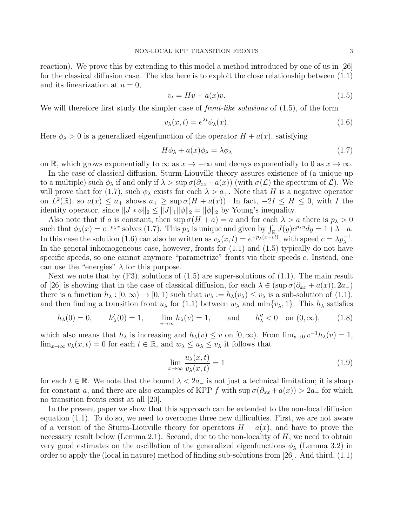reaction). We prove this by extending to this model a method introduced by one of us in [26] for the classical diffusion case. The idea here is to exploit the close relationship between (1.1) and its linearization at  $u = 0$ ,

$$
v_t = Hv + a(x)v.
$$
\n
$$
(1.5)
$$

We will therefore first study the simpler case of *front-like solutions* of (1.5), of the form

$$
v_{\lambda}(x,t) = e^{\lambda t} \phi_{\lambda}(x). \tag{1.6}
$$

Here  $\phi_{\lambda} > 0$  is a generalized eigenfunction of the operator  $H + a(x)$ , satisfying

$$
H\phi_{\lambda} + a(x)\phi_{\lambda} = \lambda\phi_{\lambda} \tag{1.7}
$$

on R, which grows exponentially to  $\infty$  as  $x \to -\infty$  and decays exponentially to 0 as  $x \to \infty$ .

In the case of classical diffusion, Sturm-Liouville theory assures existence of (a unique up to a multiple) such  $\phi_{\lambda}$  if and only if  $\lambda > \sup \sigma(\partial_{xx} + a(x))$  (with  $\sigma(\mathcal{L})$  the spectrum of  $\mathcal{L}$ ). We will prove that for (1.7), such  $\phi_{\lambda}$  exists for each  $\lambda > a_{+}$ . Note that H is a negative operator on  $L^2(\mathbb{R})$ , so  $a(x) \le a_+$  shows  $a_+ \ge \sup \sigma(H + a(x))$ . In fact,  $-2I \le H \le 0$ , with I the identity operator, since  $||J * \phi||_2 \le ||J||_1 ||\phi||_2 = ||\phi||_2$  by Young's inequality.

Also note that if a is constant, then  $\sup \sigma(H + a) = a$  and for each  $\lambda > a$  there is  $p_{\lambda} > 0$ such that  $\phi_{\lambda}(x) = e^{-p_{\lambda}x}$  solves (1.7). This  $p_{\lambda}$  is unique and given by  $\int_{\mathbb{R}} J(y)e^{p_{\lambda}y}dy = 1 + \lambda - a$ . In this case the solution (1.6) can also be written as  $v_{\lambda}(x,t) = e^{-p_{\lambda}(x-\bar{ct})}$ , with speed  $c = \lambda p_{\lambda}^{-1}$ . In the general inhomogeneous case, however, fronts for  $(1.1)$  and  $(1.5)$  typically do not have specific speeds, so one cannot anymore "parametrize" fronts via their speeds c. Instead, one can use the "energies"  $\lambda$  for this purpose.

Next we note that by  $(F3)$ , solutions of  $(1.5)$  are super-solutions of  $(1.1)$ . The main result of [26] is showing that in the case of classical diffusion, for each  $\lambda \in (\sup \sigma(\partial_{xx} + a(x)), 2a_{-})$ there is a function  $h_\lambda : [0, \infty) \to [0, 1)$  such that  $w_\lambda := h_\lambda(v_\lambda) \leq v_\lambda$  is a sub-solution of  $(1.1)$ , and then finding a transition front  $u_\lambda$  for (1.1) between  $w_\lambda$  and  $\min\{v_\lambda, 1\}$ . This  $h_\lambda$  satisfies

$$
h_{\lambda}(0) = 0,
$$
  $h'_{\lambda}(0) = 1,$   $\lim_{v \to \infty} h_{\lambda}(v) = 1,$  and  $h''_{\lambda} < 0$  on  $(0, \infty)$ , (1.8)

which also means that  $h_{\lambda}$  is increasing and  $h_{\lambda}(v) \leq v$  on  $[0, \infty)$ . From  $\lim_{v\to 0} v^{-1}h_{\lambda}(v) = 1$ ,  $\lim_{x\to\infty} v_\lambda(x,t) = 0$  for each  $t \in \mathbb{R}$ , and  $w_\lambda \leq u_\lambda \leq v_\lambda$  it follows that

$$
\lim_{x \to \infty} \frac{u_{\lambda}(x, t)}{v_{\lambda}(x, t)} = 1
$$
\n(1.9)

for each  $t \in \mathbb{R}$ . We note that the bound  $\lambda < 2a_{-}$  is not just a technical limitation; it is sharp for constant a, and there are also examples of KPP f with  $\sup \sigma(\partial_{xx} + a(x)) > 2a$  for which no transition fronts exist at all [20].

In the present paper we show that this approach can be extended to the non-local diffusion equation (1.1). To do so, we need to overcome three new difficulties. First, we are not aware of a version of the Sturm-Liouville theory for operators  $H + a(x)$ , and have to prove the necessary result below (Lemma 2.1). Second, due to the non-locality of  $H$ , we need to obtain very good estimates on the oscillation of the generalized eigenfunctions  $\phi_{\lambda}$  (Lemma 3.2) in order to apply the (local in nature) method of finding sub-solutions from [26]. And third, (1.1)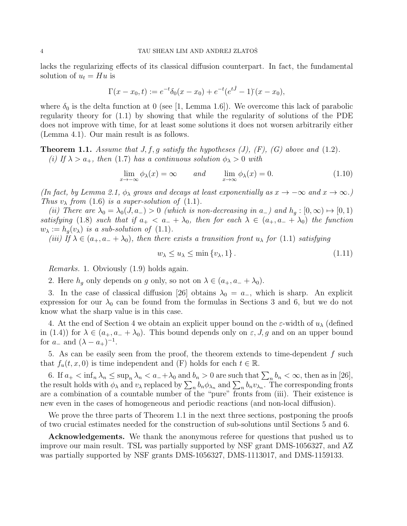lacks the regularizing effects of its classical diffusion counterpart. In fact, the fundamental solution of  $u_t = Hu$  is

$$
\Gamma(x - x_0, t) := e^{-t} \delta_0(x - x_0) + e^{-t} (e^{t\hat{J}} - 1) (x - x_0),
$$

where  $\delta_0$  is the delta function at 0 (see [1, Lemma 1.6]). We overcome this lack of parabolic regularity theory for (1.1) by showing that while the regularity of solutions of the PDE does not improve with time, for at least some solutions it does not worsen arbitrarily either (Lemma 4.1). Our main result is as follows.

**Theorem 1.1.** Assume that  $J, f, g$  satisfy the hypotheses (J), (F), (G) above and (1.2). (i) If  $\lambda > a_+$ , then (1.7) has a continuous solution  $\phi_{\lambda} > 0$  with

$$
\lim_{x \to -\infty} \phi_{\lambda}(x) = \infty \quad \text{and} \quad \lim_{x \to \infty} \phi_{\lambda}(x) = 0. \tag{1.10}
$$

(In fact, by Lemma 2.1,  $\phi_{\lambda}$  grows and decays at least exponentially as  $x \to -\infty$  and  $x \to \infty$ .) Thus  $v_{\lambda}$  from (1.6) is a super-solution of (1.1).

(ii) There are  $\lambda_0 = \lambda_0(J, a_-) > 0$  (which is non-decreasing in  $a_-$ ) and  $h_q : [0, \infty) \mapsto [0, 1)$ satisfying (1.8) such that if  $a_+ < a_- + \lambda_0$ , then for each  $\lambda \in (a_+, a_- + \lambda_0)$  the function  $w_{\lambda} := h_g(v_{\lambda})$  is a sub-solution of (1.1).

(iii) If  $\lambda \in (a_+, a_- + \lambda_0)$ , then there exists a transition front  $u_\lambda$  for (1.1) satisfying

$$
w_{\lambda} \le u_{\lambda} \le \min \{v_{\lambda}, 1\}.
$$
\n
$$
(1.11)
$$

Remarks. 1. Obviously (1.9) holds again.

2. Here  $h_q$  only depends on g only, so not on  $\lambda \in (a_+, a_- + \lambda_0)$ .

3. In the case of classical diffusion [26] obtains  $\lambda_0 = a_-,$  which is sharp. An explicit expression for our  $\lambda_0$  can be found from the formulas in Sections 3 and 6, but we do not know what the sharp value is in this case.

4. At the end of Section 4 we obtain an explicit upper bound on the  $\varepsilon$ -width of  $u_\lambda$  (defined in (1.4)) for  $\lambda \in (a_+, a_- + \lambda_0)$ . This bound depends only on  $\varepsilon$ , *J*, *g* and on an upper bound for  $a_-\text{ and }(\lambda-a_+)^{-1}$ .

5. As can be easily seen from the proof, the theorem extends to time-dependent  $f$  such that  $f_u(t, x, 0)$  is time independent and  $(F)$  holds for each  $t \in \mathbb{R}$ .

6. If  $a_+ < \inf_n \lambda_n \leq \sup_n \lambda_n < a_- + \lambda_0$  and  $b_n > 0$  are such that  $\sum_n b_n < \infty$ , then as in [26], the result holds with  $\phi_\lambda$  and  $v_\lambda$  replaced by  $\sum_n b_n \phi_{\lambda_n}$  and  $\sum_n b_n v_{\lambda_n}$ . The corresponding fronts are a combination of a countable number of the "pure" fronts from (iii). Their existence is new even in the cases of homogeneous and periodic reactions (and non-local diffusion).

We prove the three parts of Theorem 1.1 in the next three sections, postponing the proofs of two crucial estimates needed for the construction of sub-solutions until Sections 5 and 6.

Acknowledgements. We thank the anonymous referee for questions that pushed us to improve our main result. TSL was partially supported by NSF grant DMS-1056327, and AZ was partially supported by NSF grants DMS-1056327, DMS-1113017, and DMS-1159133.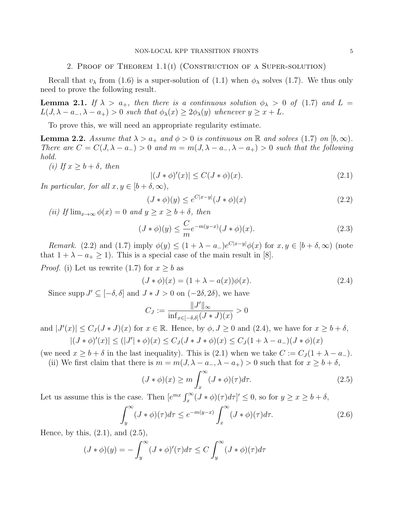#### 2. Proof of Theorem 1.1(i) (Construction of a Super-solution)

Recall that  $v_{\lambda}$  from (1.6) is a super-solution of (1.1) when  $\phi_{\lambda}$  solves (1.7). We thus only need to prove the following result.

**Lemma 2.1.** If  $\lambda > a_+$ , then there is a continuous solution  $\phi_{\lambda} > 0$  of (1.7) and L =  $L(J, \lambda - a_-, \lambda - a_+) > 0$  such that  $\phi_{\lambda}(x) \geq 2\phi_{\lambda}(y)$  whenever  $y \geq x + L$ .

To prove this, we will need an appropriate regularity estimate.

**Lemma 2.2.** Assume that  $\lambda > a_+$  and  $\phi > 0$  is continuous on R and solves (1.7) on  $[b, \infty)$ . There are  $C = C(J, \lambda - a_{-}) > 0$  and  $m = m(J, \lambda - a_{-}, \lambda - a_{+}) > 0$  such that the following hold.

(i) If  $x > b + \delta$ , then

$$
|(J * \phi)'(x)| \le C(J * \phi)(x). \tag{2.1}
$$

In particular, for all  $x, y \in [b + \delta, \infty)$ ,

$$
(J * \phi)(y) \le e^{C|x-y|} (J * \phi)(x)
$$
\n
$$
(2.2)
$$

(ii) If  $\lim_{x\to\infty}\phi(x)=0$  and  $y\geq x\geq b+\delta$ , then

$$
(J * \phi)(y) \le \frac{C}{m} e^{-m(y-x)} (J * \phi)(x).
$$
 (2.3)

Remark. (2.2) and (1.7) imply  $\phi(y) \leq (1 + \lambda - a_{-})e^{C|x-y|}\phi(x)$  for  $x, y \in [b + \delta, \infty)$  (note that  $1 + \lambda - a_+ \ge 1$ ). This is a special case of the main result in [8].

*Proof.* (i) Let us rewrite (1.7) for  $x > b$  as

$$
(J * \phi)(x) = (1 + \lambda - a(x))\phi(x). \tag{2.4}
$$

Since supp  $J' \subseteq [-\delta, \delta]$  and  $J * J > 0$  on  $(-2\delta, 2\delta)$ , we have

$$
C_J := \frac{\|J'\|_{\infty}}{\inf_{x \in [-\delta, \delta]} (J * J)(x)} > 0
$$

and  $|J'(x)| \leq C_J (J * J)(x)$  for  $x \in \mathbb{R}$ . Hence, by  $\phi, J \geq 0$  and  $(2.4)$ , we have for  $x \geq b + \delta$ ,  $|(J * \phi)'(x)| \le (|J'| * \phi)(x) \le C_J (J * J * \phi)(x) \le C_J (1 + \lambda - a_{-})(J * \phi)(x)$ 

(we need  $x \geq b + \delta$  in the last inequality). This is (2.1) when we take  $C := C_J(1 + \lambda - a_-)$ . (ii) We first claim that there is  $m = m(J, \lambda - a_-, \lambda - a_+) > 0$  such that for  $x \ge b + \delta$ ,

$$
(J * \phi)(x) \ge m \int_x^{\infty} (J * \phi)(\tau) d\tau.
$$
\n(2.5)

Let us assume this is the case. Then  $[e^{mx} \int_x^{\infty} (J * \phi)(\tau) d\tau]' \leq 0$ , so for  $y \geq x \geq b + \delta$ ,

$$
\int_{y}^{\infty} (J * \phi)(\tau) d\tau \le e^{-m(y-x)} \int_{x}^{\infty} (J * \phi)(\tau) d\tau.
$$
 (2.6)

Hence, by this,  $(2.1)$ , and  $(2.5)$ ,

$$
(J * \phi)(y) = -\int_y^\infty (J * \phi)'(\tau) d\tau \le C \int_y^\infty (J * \phi)(\tau) d\tau
$$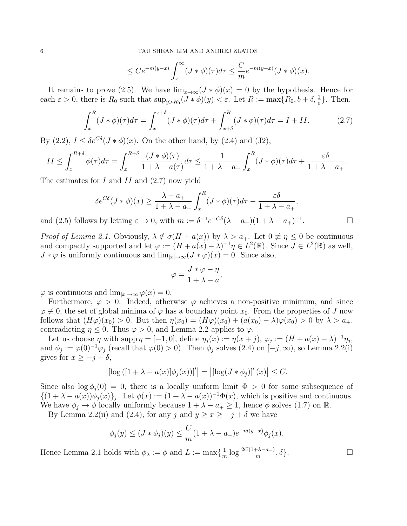$$
\leq Ce^{-m(y-x)}\int_x^{\infty} (J*\phi)(\tau)d\tau \leq \frac{C}{m}e^{-m(y-x)}(J*\phi)(x).
$$

It remains to prove (2.5). We have  $\lim_{x\to\infty}(J*\phi)(x)=0$  by the hypothesis. Hence for each  $\varepsilon > 0$ , there is  $R_0$  such that  $\sup_{y>R_0}(J * \phi)(y) < \varepsilon$ . Let  $R := \max\{R_0, b + \delta, \frac{1}{\varepsilon}\}\.$  Then,

$$
\int_{x}^{R} (J * \phi)(\tau) d\tau = \int_{x}^{x+\delta} (J * \phi)(\tau) d\tau + \int_{x+\delta}^{R} (J * \phi)(\tau) d\tau = I + II.
$$
 (2.7)

By (2.2),  $I \leq \delta e^{C\delta}(J * \phi)(x)$ . On the other hand, by (2.4) and (J2),

$$
II \leq \int_x^{R+\delta} \phi(\tau) d\tau = \int_x^{R+\delta} \frac{(J*\phi)(\tau)}{1+\lambda - a(\tau)} d\tau \leq \frac{1}{1+\lambda - a_+} \int_x^R (J*\phi)(\tau) d\tau + \frac{\varepsilon \delta}{1+\lambda - a_+}.
$$

The estimates for I and II and (2.7) now yield

$$
\delta e^{C\delta}(J * \phi)(x) \ge \frac{\lambda - a_+}{1 + \lambda - a_+} \int_x^R (J * \phi)(\tau) d\tau - \frac{\varepsilon \delta}{1 + \lambda - a_+},
$$
  
as by letting  $\varepsilon \to 0$ , with  $m := \delta^{-1} e^{-C\delta} (\lambda - a_+)(1 + \lambda - a_+)^{-1}$ .

and (2.5) follows by letting  $\varepsilon \to 0$ , with  $m := \delta^{-1} e^{-C\delta} (\lambda - a_+)(1 + \lambda - a_+)^{-1}$ 

*Proof of Lemma 2.1.* Obviously,  $\lambda \notin \sigma(H + a(x))$  by  $\lambda > a_+$ . Let  $0 \neq \eta \leq 0$  be continuous and compactly supported and let  $\varphi := (H + a(x) - \lambda)^{-1} \eta \in L^2(\mathbb{R})$ . Since  $J \in L^2(\mathbb{R})$  as well,  $J * \varphi$  is uniformly continuous and  $\lim_{|x| \to \infty} (J * \varphi)(x) = 0$ . Since also,

$$
\varphi = \frac{J * \varphi - \eta}{1 + \lambda - a},
$$

 $\varphi$  is continuous and  $\lim_{|x|\to\infty} \varphi(x) = 0$ .

Furthermore,  $\varphi > 0$ . Indeed, otherwise  $\varphi$  achieves a non-positive minimum, and since  $\varphi \neq 0$ , the set of global minima of  $\varphi$  has a boundary point  $x_0$ . From the properties of J now follows that  $(H\varphi)(x_0) > 0$ . But then  $\eta(x_0) = (H\varphi)(x_0) + (a(x_0) - \lambda)\varphi(x_0) > 0$  by  $\lambda > a_+$ , contradicting  $\eta \leq 0$ . Thus  $\varphi > 0$ , and Lemma 2.2 applies to  $\varphi$ .

Let us choose  $\eta$  with supp  $\eta = [-1, 0]$ , define  $\eta_j(x) := \eta(x + j)$ ,  $\varphi_j := (H + a(x) - \lambda)^{-1} \eta_j$ , and  $\phi_j := \varphi(0)^{-1} \varphi_j$  (recall that  $\varphi(0) > 0$ ). Then  $\phi_j$  solves  $(2.4)$  on  $[-j, \infty)$ , so Lemma 2.2(i) gives for  $x \geq -j + \delta$ ,

$$
\left| \left[ \log \left( \left[ 1 + \lambda - a(x) \right] \phi_j(x) \right) \right]' \right| = \left| \left[ \log (J * \phi_j) \right]'(x) \right| \leq C.
$$

Since also  $\log \phi_i(0) = 0$ , there is a locally uniform limit  $\Phi > 0$  for some subsequence of  $\{(1 + \lambda - a(x))\phi_j(x)\}_j$ . Let  $\phi(x) := (1 + \lambda - a(x))^{-1}\Phi(x)$ , which is positive and continuous. We have  $\phi_i \to \phi$  locally uniformly because  $1 + \lambda - a_+ \geq 1$ , hence  $\phi$  solves (1.7) on R.

By Lemma 2.2(ii) and (2.4), for any j and  $y \ge x \ge -j + \delta$  we have

$$
\phi_j(y) \le (J * \phi_j)(y) \le \frac{C}{m}(1 + \lambda - a_-)e^{-m(y-x)}\phi_j(x).
$$

Hence Lemma 2.1 holds with  $\phi_{\lambda} := \phi$  and  $L := \max\{\frac{1}{n}\}$  $\frac{1}{m} \log \frac{2C(1+\lambda-a_-)}{m}, \delta$ .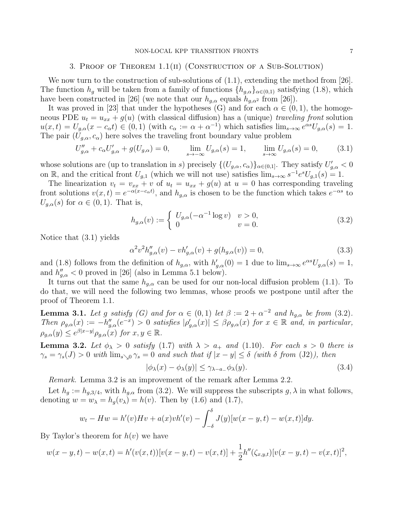### 3. Proof of Theorem 1.1(ii) (Construction of a Sub-Solution)

We now turn to the construction of sub-solutions of  $(1.1)$ , extending the method from [26]. The function  $h_q$  will be taken from a family of functions  $\{h_{q,\alpha}\}_{{\alpha}\in{0,1}}$  satisfying (1.8), which have been constructed in [26] (we note that our  $h_{q,\alpha}$  equals  $h_{q,\alpha^2}$  from [26]).

It was proved in [23] that under the hypotheses (G) and for each  $\alpha \in (0,1)$ , the homogeneous PDE  $u_t = u_{xx} + g(u)$  (with classical diffusion) has a (unique) traveling front solution  $u(x,t) = U_{g,\alpha}(x - c_{\alpha}t) \in (0,1)$  (with  $c_{\alpha} := \alpha + \alpha^{-1}$ ) which satisfies  $\lim_{s\to\infty} e^{\alpha s}U_{g,\alpha}(s) = 1$ . The pair  $(U_{q,\alpha}, c_{\alpha})$  here solves the traveling front boundary value problem

$$
U''_{g,\alpha} + c_{\alpha}U'_{g,\alpha} + g(U_{g,\alpha}) = 0, \qquad \lim_{s \to -\infty} U_{g,\alpha}(s) = 1, \qquad \lim_{s \to \infty} U_{g,\alpha}(s) = 0, \tag{3.1}
$$

whose solutions are (up to translation in s) precisely  $\{(U_{g,\alpha}, c_{\alpha})\}_{\alpha \in (0,1]}$ . They satisfy  $U'_{g,\alpha} < 0$ on R, and the critical front  $U_{g,1}$  (which we will not use) satisfies  $\lim_{s\to\infty} s^{-1}e^{s}U_{g,1}(s) = 1$ .

The linearization  $v_t = v_{xx} + v$  of  $u_t = u_{xx} + g(u)$  at  $u = 0$  has corresponding traveling front solutions  $v(x,t) = e^{-\alpha(x-c_{\alpha}t)}$ , and  $h_{g,\alpha}$  is chosen to be the function which takes  $e^{-\alpha s}$  to  $U_{q,\alpha}(s)$  for  $\alpha \in (0,1)$ . That is,

$$
h_{g,\alpha}(v) := \begin{cases} U_{g,\alpha}(-\alpha^{-1}\log v) & v > 0, \\ 0 & v = 0. \end{cases}
$$
 (3.2)

Notice that (3.1) yields

$$
\alpha^2 v^2 h_{g,\alpha}''(v) - v h_{g,\alpha}'(v) + g(h_{g,\alpha}(v)) = 0,
$$
\n(3.3)

and (1.8) follows from the definition of  $h_{g,\alpha}$ , with  $h'_{g,\alpha}(0) = 1$  due to  $\lim_{s\to\infty} e^{\alpha s}U_{g,\alpha}(s) = 1$ , and  $h''_{g,\alpha} < 0$  proved in [26] (also in Lemma 5.1 below).

It turns out that the same  $h_{g,\alpha}$  can be used for our non-local diffusion problem (1.1). To do that, we will need the following two lemmas, whose proofs we postpone until after the proof of Theorem 1.1.

**Lemma 3.1.** Let g satisfy (G) and for  $\alpha \in (0,1)$  let  $\beta := 2 + \alpha^{-2}$  and  $h_{g,\alpha}$  be from (3.2). Then  $\rho_{g,\alpha}(x) := -h''_{g,\alpha}(e^{-x}) > 0$  satisfies  $|\rho'_{g,\alpha}(x)| \leq \beta \rho_{g,\alpha}(x)$  for  $x \in \mathbb{R}$  and, in particular,  $\rho_{g,\alpha}(y) \leq e^{\beta |x-y|} \rho_{g,\alpha}(x)$  for  $x, y \in \mathbb{R}$ .

**Lemma 3.2.** Let  $\phi_{\lambda} > 0$  satisfy (1.7) with  $\lambda > a_+$  and (1.10). For each s > 0 there is  $\gamma_s = \gamma_s(J) > 0$  with  $\lim_{s \to 0} \gamma_s = 0$  and such that if  $|x - y| \le \delta$  (with  $\delta$  from (J2)), then

$$
|\phi_{\lambda}(x) - \phi_{\lambda}(y)| \le \gamma_{\lambda - a_{-}} \phi_{\lambda}(y). \tag{3.4}
$$

Remark. Lemma 3.2 is an improvement of the remark after Lemma 2.2.

Let  $h_g := h_{g,3/4}$ , with  $h_{g,\alpha}$  from (3.2). We will suppress the subscripts  $g, \lambda$  in what follows, denoting  $w = w_{\lambda} = h_q(v_{\lambda}) = h(v)$ . Then by (1.6) and (1.7),

$$
w_t - Hw = h'(v)Hv + a(x)vh'(v) - \int_{-\delta}^{\delta} J(y)[w(x - y, t) - w(x, t)]dy.
$$

By Taylor's theorem for  $h(v)$  we have

$$
w(x - y, t) - w(x, t) = h'(v(x, t))[v(x - y, t) - v(x, t)] + \frac{1}{2}h''(\zeta_{x,y,t})[v(x - y, t) - v(x, t)]^2,
$$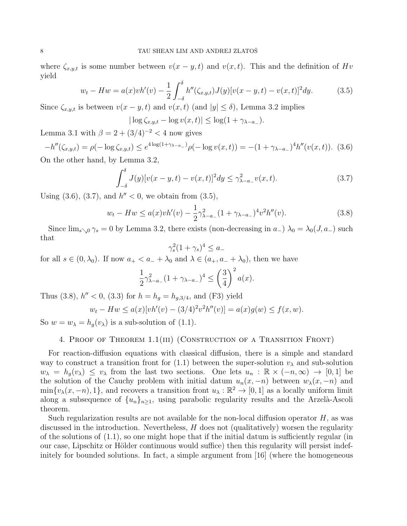where  $\zeta_{x,y,t}$  is some number between  $v(x-y,t)$  and  $v(x,t)$ . This and the definition of  $Hv$ yield

$$
w_t - Hw = a(x)v h'(v) - \frac{1}{2} \int_{-\delta}^{\delta} h''(\zeta_{x,y,t}) J(y) [v(x - y, t) - v(x, t)]^2 dy.
$$
 (3.5)

Since  $\zeta_{x,y,t}$  is between  $v(x - y, t)$  and  $v(x, t)$  (and  $|y| \le \delta$ ), Lemma 3.2 implies

$$
|\log \zeta_{x,y,t} - \log v(x,t)| \leq \log(1 + \gamma_{\lambda - a_-}).
$$

Lemma 3.1 with  $\beta = 2 + (3/4)^{-2} < 4$  now gives

$$
-h''(\zeta_{x,y,t}) = \rho(-\log \zeta_{x,y,t}) \le e^{4\log(1+\gamma_{\lambda-a-})}\rho(-\log v(x,t)) = -(1+\gamma_{\lambda-a-})^4 h''(v(x,t)).
$$
 (3.6)

On the other hand, by Lemma 3.2,

$$
\int_{-\delta}^{\delta} J(y)[v(x-y,t) - v(x,t)]^2 dy \le \gamma_{\lambda - a_-}^2 v(x,t). \tag{3.7}
$$

Using  $(3.6)$ ,  $(3.7)$ , and  $h'' < 0$ , we obtain from  $(3.5)$ ,

$$
w_t - Hw \le a(x)v h'(v) - \frac{1}{2}\gamma_{\lambda - a_-}^2 (1 + \gamma_{\lambda - a_-})^4 v^2 h''(v). \tag{3.8}
$$

Since  $\lim_{s\to 0} \gamma_s = 0$  by Lemma 3.2, there exists (non-decreasing in  $a_-$ )  $\lambda_0 = \lambda_0(J, a_-)$  such that

$$
\gamma_s^2 (1 + \gamma_s)^4 \le a_-
$$

for all  $s \in (0, \lambda_0)$ . If now  $a_+ < a_- + \lambda_0$  and  $\lambda \in (a_+, a_- + \lambda_0)$ , then we have

$$
\frac{1}{2}\gamma_{\lambda-a-}^2(1+\gamma_{\lambda-a-})^4 \le \left(\frac{3}{4}\right)^2 a(x).
$$

Thus (3.8),  $h'' < 0$ , (3.3) for  $h = h_g = h_{g,3/4}$ , and (F3) yield

$$
w_t - Hw \le a(x)[vh'(v) - (3/4)^2 v^2 h''(v)] = a(x)g(w) \le f(x, w).
$$

So  $w = w_{\lambda} = h_g(v_{\lambda})$  is a sub-solution of (1.1).

# 4. Proof of Theorem 1.1(iii) (Construction of a Transition Front)

For reaction-diffusion equations with classical diffusion, there is a simple and standard way to construct a transition front for (1.1) between the super-solution  $v_{\lambda}$  and sub-solution  $w_{\lambda} = h_q(v_{\lambda}) \leq v_{\lambda}$  from the last two sections. One lets  $u_n : \mathbb{R} \times (-n, \infty) \to [0, 1]$  be the solution of the Cauchy problem with initial datum  $u_n(x, -n)$  between  $w_\lambda(x, -n)$  and  $\min\{v_\lambda(x, -n), 1\}$ , and recovers a transition front  $u_\lambda : \mathbb{R}^2 \to [0, 1]$  as a locally uniform limit along a subsequence of  $\{u_n\}_{n\geq 1}$ , using parabolic regularity results and the Arzelà-Ascoli theorem.

Such regularization results are not available for the non-local diffusion operator  $H$ , as was discussed in the introduction. Nevertheless,  $H$  does not (qualitatively) worsen the regularity of the solutions of  $(1.1)$ , so one might hope that if the initial datum is sufficiently regular (in our case, Lipschitz or Hölder continuous would suffice) then this regularity will persist indefinitely for bounded solutions. In fact, a simple argument from [16] (where the homogeneous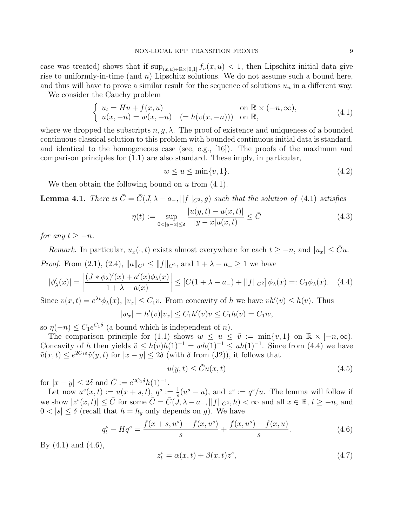case was treated) shows that if  $\sup_{(x,u)\in\mathbb{R}\times[0,1]} f_u(x,u) < 1$ , then Lipschitz initial data give rise to uniformly-in-time (and  $n$ ) Lipschitz solutions. We do not assume such a bound here, and thus will have to prove a similar result for the sequence of solutions  $u_n$  in a different way.

We consider the Cauchy problem

$$
\begin{cases}\n u_t = Hu + f(x, u) & \text{on } \mathbb{R} \times (-n, \infty), \\
u(x, -n) = w(x, -n) & (= h(v(x, -n))) & \text{on } \mathbb{R},\n\end{cases}
$$
\n(4.1)

where we dropped the subscripts  $n, q, \lambda$ . The proof of existence and uniqueness of a bounded continuous classical solution to this problem with bounded continuous initial data is standard, and identical to the homogeneous case (see, e.g.,  $[16]$ ). The proofs of the maximum and comparison principles for (1.1) are also standard. These imply, in particular,

 $w \le u \le \min\{v, 1\}.$  (4.2)

We then obtain the following bound on  $u$  from  $(4.1)$ .

**Lemma 4.1.** There is  $\bar{C} = \bar{C}(J, \lambda - a_-, ||f||_{C^2}, g)$  such that the solution of (4.1) satisfies

$$
\eta(t) := \sup_{0 < |y - x| \le \delta} \frac{|u(y, t) - u(x, t)|}{|y - x| u(x, t)} \le \bar{C} \tag{4.3}
$$

for any  $t \geq -n$ .

Remark. In particular,  $u_x(\cdot, t)$  exists almost everywhere for each  $t \geq -n$ , and  $|u_x| \leq \bar{C}u$ . *Proof.* From (2.1), (2.4),  $||a||_{C^1} \le ||f||_{C^2}$ , and  $1 + \lambda - a_+ \ge 1$  we have

$$
|\phi_{\lambda}'(x)| = \left| \frac{(J * \phi_{\lambda})'(x) + a'(x)\phi_{\lambda}(x)}{1 + \lambda - a(x)} \right| \leq [C(1 + \lambda - a_{-}) + ||f||_{C^{2}}] \phi_{\lambda}(x) =: C_{1}\phi_{\lambda}(x). \tag{4.4}
$$

Since  $v(x,t) = e^{\lambda t} \phi_{\lambda}(x)$ ,  $|v_x| \leq C_1 v$ . From concavity of h we have  $vh'(v) \leq h(v)$ . Thus  $|w_x| = h'(v)|v_x| \leq C_1 h'(v)v \leq C_1 h(v) = C_1 w,$ 

so  $\eta(-n) \leq C_1 e^{C_1 \delta}$  (a bound which is independent of n).

The comparison principle for (1.1) shows  $w \leq u \leq \tilde{v} := \min\{v, 1\}$  on  $\mathbb{R} \times [-n, \infty)$ . Concavity of h then yields  $\tilde{v} \leq h(v)h(1)^{-1} = wh(1)^{-1} \leq uh(1)^{-1}$ . Since from (4.4) we have  $\tilde{v}(x,t) \leq e^{2C_1\delta}\tilde{v}(y,t)$  for  $|x-y| \leq 2\delta$  (with  $\delta$  from (J2)), it follows that

$$
u(y,t) \le \tilde{C}u(x,t) \tag{4.5}
$$

for  $|x - y| \le 2\delta$  and  $\tilde{C} := e^{2C_1\delta}h(1)^{-1}$ .

Let now  $u^s(x,t) := u(x+s,t), q^s := \frac{1}{s}(u^s-u)$ , and  $z^s := q^s/u$ . The lemma will follow if we show  $|z^s(x,t)| \leq \bar{C}$  for some  $\bar{C} = \bar{C}(\tilde{J}, \lambda - a_-, ||f||_{C^2}, h) < \infty$  and all  $x \in \mathbb{R}, t \geq -n$ , and  $0 < |s| \leq \delta$  (recall that  $h = h_q$  only depends on g). We have

$$
q_t^s - Hq^s = \frac{f(x+s, u^s) - f(x, u^s)}{s} + \frac{f(x, u^s) - f(x, u)}{s}.
$$
\n(4.6)

By  $(4.1)$  and  $(4.6)$ ,

$$
z_t^s = \alpha(x, t) + \beta(x, t)z^s,\tag{4.7}
$$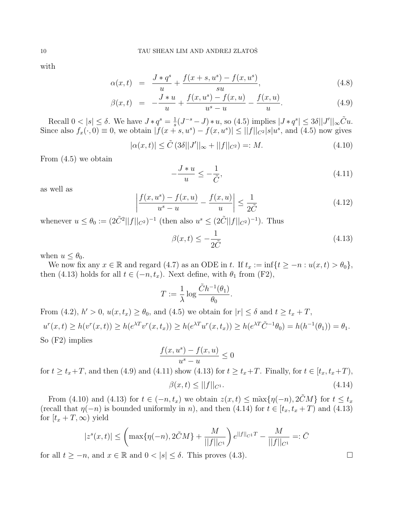with

$$
\alpha(x,t) = \frac{J * q^s}{u} + \frac{f(x+s, u^s) - f(x, u^s)}{su},\tag{4.8}
$$

$$
\beta(x,t) = -\frac{J*u}{u} + \frac{f(x,u^s) - f(x,u)}{u^s - u} - \frac{f(x,u)}{u}.
$$
\n(4.9)

Recall  $0 < |s| \leq \delta$ . We have  $J * q^s = \frac{1}{s}$  $\frac{1}{s}(J^{-s}-J) * u$ , so (4.5) implies  $|J * q^s| \leq 3\delta ||J'||_{\infty}\tilde{C}u$ . Since also  $f_x(\cdot,0) \equiv 0$ , we obtain  $|f(x+s, u^s) - f(x, u^s)| \leq ||f||_{C^2} |s| u^s$ , and (4.5) now gives

$$
|\alpha(x,t)| \le \tilde{C} (3\delta ||J'||_{\infty} + ||f||_{C^2}) =: M.
$$
 (4.10)

From (4.5) we obtain

$$
-\frac{J*u}{u} \le -\frac{1}{\tilde{C}},\tag{4.11}
$$

as well as

$$
\left| \frac{f(x, u^s) - f(x, u)}{u^s - u} - \frac{f(x, u)}{u} \right| \le \frac{1}{2\tilde{C}} \tag{4.12}
$$

whenever  $u \leq \theta_0 := (2\tilde{C}^2||f||_{C^2})^{-1}$  (then also  $u^s \leq (2\tilde{C}||f||_{C^2})^{-1}$ ). Thus

$$
\beta(x,t) \le -\frac{1}{2\tilde{C}}\tag{4.13}
$$

when  $u \leq \theta_0$ .

We now fix any  $x \in \mathbb{R}$  and regard (4.7) as an ODE in t. If  $t_x := \inf\{t \geq -n : u(x, t) > \theta_0\},\$ then (4.13) holds for all  $t \in (-n, t_x)$ . Next define, with  $\theta_1$  from (F2),

$$
T := \frac{1}{\lambda} \log \frac{\tilde{C}h^{-1}(\theta_1)}{\theta_0}.
$$

From (4.2),  $h' > 0$ ,  $u(x, t_x) \ge \theta_0$ , and (4.5) we obtain for  $|r| \le \delta$  and  $t \ge t_x + T$ ,  $u^{r}(x,t) \geq h(v^{r}(x,t)) \geq h(e^{\lambda T}v^{r}(x,t_{x})) \geq h(e^{\lambda T}u^{r}(x,t_{x})) \geq h(e^{\lambda T}\tilde{C}^{-1}\theta_{0}) = h(h^{-1}(\theta_{1})) = \theta_{1}.$ So (F2) implies

$$
\frac{f(x, u^s) - f(x, u)}{u^s - u} \le 0
$$

for  $t \ge t_x + T$ , and then (4.9) and (4.11) show (4.13) for  $t \ge t_x + T$ . Finally, for  $t \in [t_x, t_x + T)$ ,

$$
\beta(x,t) \le ||f||_{C^1}.\tag{4.14}
$$

From (4.10) and (4.13) for  $t \in (-n, t_x)$  we obtain  $z(x, t) \leq \max\{\eta(-n), 2\tilde{C}M\}$  for  $t \leq t_x$ (recall that  $\eta(-n)$  is bounded uniformly in n), and then (4.14) for  $t \in [t_x, t_x + T]$  and (4.13) for  $[t_x + T, \infty)$  yield

$$
|z^{s}(x,t)| \leq \left(\max\{\eta(-n), 2\tilde{C}M\} + \frac{M}{||f||_{C^{1}}}\right) e^{||f||_{C^{1}}T} - \frac{M}{||f||_{C^{1}}} =: \bar{C}
$$

for all  $t \geq -n$ , and  $x \in \mathbb{R}$  and  $0 < |s| \leq \delta$ . This proves (4.3).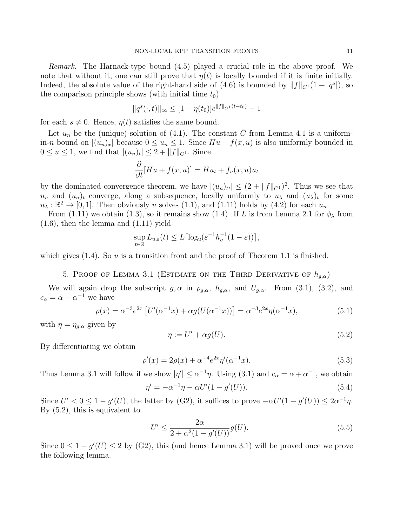Remark. The Harnack-type bound (4.5) played a crucial role in the above proof. We note that without it, one can still prove that  $\eta(t)$  is locally bounded if it is finite initially. Indeed, the absolute value of the right-hand side of (4.6) is bounded by  $||f||_{C^{1}}(1 + |q^{s}|)$ , so the comparison principle shows (with initial time  $t_0$ )

$$
||q^{s}(\cdot,t)||_{\infty} \leq [1+\eta(t_0)]e^{||f||_{C^1}(t-t_0)} - 1
$$

for each  $s \neq 0$ . Hence,  $\eta(t)$  satisfies the same bound.

Let  $u_n$  be the (unique) solution of (4.1). The constant  $\overline{C}$  from Lemma 4.1 is a uniformin-n bound on  $|(u_n)_x|$  because  $0 \le u_n \le 1$ . Since  $Hu + f(x, u)$  is also uniformly bounded in  $0 \le u \le 1$ , we find that  $|(u_n)_t| \le 2 + ||f||_{C^1}$ . Since

$$
\frac{\partial}{\partial t}[Hu + f(x, u)] = Hu_t + f_u(x, u)u_t
$$

by the dominated convergence theorem, we have  $|(u_n)_{tt}| \leq (2 + ||f||_{C^1})^2$ . Thus we see that  $u_n$  and  $(u_n)_t$  converge, along a subsequence, locally uniformly to  $u_\lambda$  and  $(u_\lambda)_t$  for some  $u_{\lambda} : \mathbb{R}^2 \to [0, 1]$ . Then obviously u solves (1.1), and (1.11) holds by (4.2) for each  $u_n$ .

From (1.11) we obtain (1.3), so it remains show (1.4). If L is from Lemma 2.1 for  $\phi_{\lambda}$  from (1.6), then the lemma and (1.11) yield

$$
\sup_{t \in \mathbb{R}} L_{u,\varepsilon}(t) \le L \lceil \log_2(\varepsilon^{-1} h_g^{-1}(1-\varepsilon)) \rceil,
$$

which gives  $(1.4)$ . So u is a transition front and the proof of Theorem 1.1 is finished.

5. PROOF OF LEMMA 3.1 (ESTIMATE ON THE THIRD DERIVATIVE OF  $h_{a,\alpha}$ )

We will again drop the subscript  $g, \alpha$  in  $\rho_{g,\alpha}$ ,  $h_{g,\alpha}$ , and  $U_{g,\alpha}$ . From (3.1), (3.2), and  $c_{\alpha} = \alpha + \alpha^{-1}$  we have

$$
\rho(x) = \alpha^{-3} e^{2x} \left[ U'(\alpha^{-1} x) + \alpha g(U(\alpha^{-1} x)) \right] = \alpha^{-3} e^{2x} \eta(\alpha^{-1} x), \tag{5.1}
$$

with  $\eta = \eta_{q,\alpha}$  given by

$$
\eta := U' + \alpha g(U). \tag{5.2}
$$

By differentiating we obtain

$$
\rho'(x) = 2\rho(x) + \alpha^{-4} e^{2x} \eta'(\alpha^{-1} x). \tag{5.3}
$$

Thus Lemma 3.1 will follow if we show  $|\eta'| \leq \alpha^{-1}\eta$ . Using (3.1) and  $c_{\alpha} = \alpha + \alpha^{-1}$ , we obtain

$$
\eta' = -\alpha^{-1}\eta - \alpha U'(1 - g'(U)).
$$
\n(5.4)

Since  $U' < 0 \leq 1 - g'(U)$ , the latter by (G2), it suffices to prove  $-\alpha U'(1 - g'(U)) \leq 2\alpha^{-1}\eta$ . By (5.2), this is equivalent to

$$
-U' \le \frac{2\alpha}{2 + \alpha^2 (1 - g'(U))} g(U). \tag{5.5}
$$

Since  $0 \leq 1 - g'(U) \leq 2$  by (G2), this (and hence Lemma 3.1) will be proved once we prove the following lemma.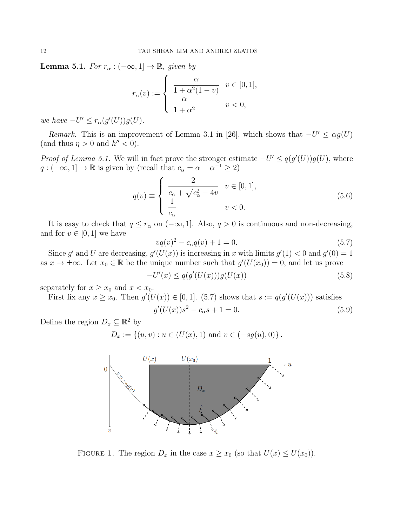**Lemma 5.1.** For  $r_{\alpha}: (-\infty, 1] \rightarrow \mathbb{R}$ , given by

$$
r_{\alpha}(v) := \begin{cases} \begin{array}{c} \alpha \\ \frac{\alpha}{1 + \alpha^2 (1 - v)} \end{array} & v \in [0, 1], \\ \frac{\alpha}{1 + \alpha^2} & v < 0, \end{cases}
$$

we have  $-U' \leq r_{\alpha}(g'(U))g(U)$ .

Remark. This is an improvement of Lemma 3.1 in [26], which shows that  $-U' \leq \alpha g(U)$ (and thus  $\eta > 0$  and  $h'' < 0$ ).

*Proof of Lemma 5.1.* We will in fact prove the stronger estimate  $-U' \leq q(g'(U))g(U)$ , where  $q:(-\infty,1] \to \mathbb{R}$  is given by (recall that  $c_{\alpha} = \alpha + \alpha^{-1} \geq 2$ )

$$
q(v) \equiv \begin{cases} \frac{2}{c_{\alpha} + \sqrt{c_{\alpha}^2 - 4v}} & v \in [0, 1], \\ \frac{1}{c_{\alpha}} & v < 0. \end{cases}
$$
 (5.6)

It is easy to check that  $q \leq r_\alpha$  on  $(-\infty, 1]$ . Also,  $q > 0$  is continuous and non-decreasing, and for  $v \in [0, 1]$  we have

$$
vq(v)^2 - c_{\alpha}q(v) + 1 = 0.
$$
\n(5.7)

Since g' and U are decreasing,  $g'(U(x))$  is increasing in x with limits  $g'(1) < 0$  and  $g'(0) = 1$ as  $x \to \pm \infty$ . Let  $x_0 \in \mathbb{R}$  be the unique number such that  $g'(U(x_0)) = 0$ , and let us prove

$$
-U'(x) \le q(g'(U(x)))g(U(x))
$$
\n(5.8)

separately for  $x \geq x_0$  and  $x < x_0$ .

First fix any  $x \ge x_0$ . Then  $g'(U(x)) \in [0,1]$ . (5.7) shows that  $s := q(g'(U(x)))$  satisfies

$$
g'(U(x))s^2 - c_{\alpha}s + 1 = 0.
$$
\n(5.9)

Define the region  $D_x \subseteq \mathbb{R}^2$  by

 $D_x := \{(u, v) : u \in (U(x), 1) \text{ and } v \in (-sg(u), 0)\}.$ 



FIGURE 1. The region  $D_x$  in the case  $x \ge x_0$  (so that  $U(x) \le U(x_0)$ ).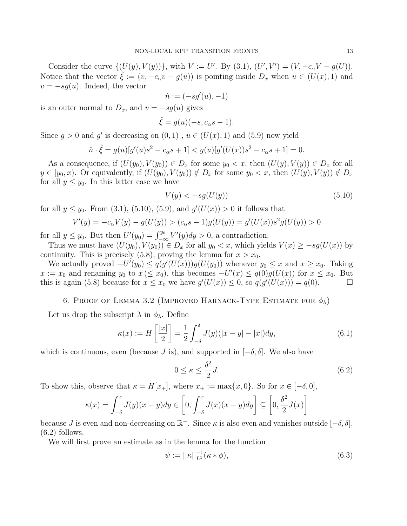Consider the curve  $\{(U(y), V(y))\}$ , with  $V := U'$ . By (3.1),  $(U', V') = (V, -c_{\alpha}V - g(U))$ . Notice that the vector  $\hat{\xi} := (v, -c_{\alpha}v - g(u))$  is pointing inside  $D_x$  when  $u \in (U(x), 1)$  and  $v = -sg(u)$ . Indeed, the vector

$$
\hat{n}:=(-sg'(u),-1)
$$

is an outer normal to  $D_x$ , and  $v = -sg(u)$  gives

$$
\hat{\xi} = g(u)(-s, c_{\alpha}s - 1).
$$

Since  $g > 0$  and g' is decreasing on  $(0, 1)$ ,  $u \in (U(x), 1)$  and  $(5.9)$  now yield

$$
\hat{n} \cdot \hat{\xi} = g(u)[g'(u)s^2 - c_{\alpha}s + 1] < g(u)[g'(U(x))s^2 - c_{\alpha}s + 1] = 0.
$$

As a consequence, if  $(U(y_0), V(y_0)) \in D_x$  for some  $y_0 < x$ , then  $(U(y), V(y)) \in D_x$  for all  $y \in [y_0, x)$ . Or equivalently, if  $(U(y_0), V(y_0)) \notin D_x$  for some  $y_0 < x$ , then  $(U(y), V(y)) \notin D_x$ for all  $y \leq y_0$ . In this latter case we have

$$
V(y) < -sg(U(y))\tag{5.10}
$$

for all  $y \le y_0$ . From (3.1), (5.10), (5.9), and  $g'(U(x)) > 0$  it follows that

$$
V'(y) = -c_{\alpha}V(y) - g(U(y)) > (c_{\alpha}s - 1)g(U(y)) = g'(U(x))s^2g(U(y)) > 0
$$

for all  $y \leq y_0$ . But then  $U'(y_0) = \int_{-\infty}^{y_0} V'(y) dy > 0$ , a contradiction.

Thus we must have  $(U(y_0), V(y_0)) \in D_x$  for all  $y_0 < x$ , which yields  $V(x) \ge -sg(U(x))$  by continuity. This is precisely (5.8), proving the lemma for  $x > x_0$ .

We actually proved  $-U'(y_0) \leq q(g'(U(x)))g(U(y_0))$  whenever  $y_0 \leq x$  and  $x \geq x_0$ . Taking  $x := x_0$  and renaming  $y_0$  to  $x \leq x_0$ , this becomes  $-U'(x) \leq q(0)g(U(x))$  for  $x \leq x_0$ . But this is again (5.8) because for  $x \le x_0$  we have  $g'(U(x)) \le 0$ , so  $g(g'(U(x))) = q(0)$ .

## 6. PROOF OF LEMMA 3.2 (IMPROVED HARNACK-TYPE ESTIMATE FOR  $\phi_{\lambda}$ )

Let us drop the subscript  $\lambda$  in  $\phi_{\lambda}$ . Define

$$
\kappa(x) := H\left[\frac{|x|}{2}\right] = \frac{1}{2} \int_{-\delta}^{\delta} J(y)(|x-y| - |x|) dy,\tag{6.1}
$$

which is continuous, even (because J is), and supported in  $[-\delta, \delta]$ . We also have

$$
0 \le \kappa \le \frac{\delta^2}{2} J. \tag{6.2}
$$

To show this, observe that  $\kappa = H[x_+]$ , where  $x_+ := \max\{x, 0\}$ . So for  $x \in [-\delta, 0]$ ,

$$
\kappa(x) = \int_{-\delta}^{x} J(y)(x - y) dy \in \left[0, \int_{-\delta}^{x} J(x)(x - y) dy\right] \subseteq \left[0, \frac{\delta^2}{2} J(x)\right]
$$

because J is even and non-decreasing on  $\mathbb{R}^-$ . Since  $\kappa$  is also even and vanishes outside  $[-\delta, \delta]$ ,  $(6.2)$  follows.

We will first prove an estimate as in the lemma for the function

$$
\psi := ||\kappa||_{L^{1}}^{-1}(\kappa * \phi), \tag{6.3}
$$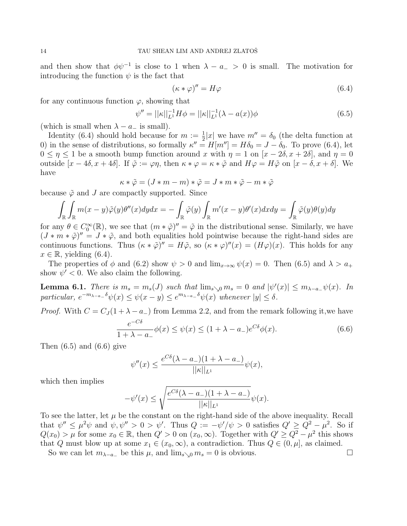and then show that  $\phi\psi^{-1}$  is close to 1 when  $\lambda - a_- > 0$  is small. The motivation for introducing the function  $\psi$  is the fact that

$$
(\kappa * \varphi)'' = H\varphi \tag{6.4}
$$

for any continuous function  $\varphi$ , showing that

$$
\psi'' = ||\kappa||_{L^1}^{-1} H \phi = ||\kappa||_{L^1}^{-1} (\lambda - a(x)) \phi \tag{6.5}
$$

(which is small when  $\lambda - a_-\$  is small).

Identity (6.4) should hold because for  $m := \frac{1}{2}|x|$  we have  $m'' = \delta_0$  (the delta function at 0) in the sense of distributions, so formally  $\kappa'' = H[m''] = H\delta_0 = J - \delta_0$ . To prove (6.4), let  $0 \leq \eta \leq 1$  be a smooth bump function around x with  $\eta = 1$  on  $[x - 2\delta, x + 2\delta]$ , and  $\eta = 0$ outside  $[x - 4\delta, x + 4\delta]$ . If  $\tilde{\varphi} := \varphi \eta$ , then  $\kappa * \varphi = \kappa * \tilde{\varphi}$  and  $H\varphi = H\tilde{\varphi}$  on  $[x - \delta, x + \delta]$ . We have

$$
\kappa\ast\tilde{\varphi}=(J\ast m-m)\ast\tilde{\varphi}=J\ast m\ast\tilde{\varphi}-m\ast\tilde{\varphi}
$$

because  $\tilde{\varphi}$  and J are compactly supported. Since

$$
\int_{\mathbb{R}} \int_{\mathbb{R}} m(x - y) \tilde{\varphi}(y) \theta''(x) dy dx = -\int_{\mathbb{R}} \tilde{\varphi}(y) \int_{\mathbb{R}} m'(x - y) \theta'(x) dx dy = \int_{\mathbb{R}} \tilde{\varphi}(y) \theta(y) dy
$$

for any  $\theta \in C_0^{\infty}(\mathbb{R})$ , we see that  $(m * \tilde{\varphi})'' = \tilde{\varphi}$  in the distributional sense. Similarly, we have  $(J * m * \tilde{\varphi})'' = J * \tilde{\varphi}$ , and both equalities hold pointwise because the right-hand sides are continuous functions. Thus  $(\kappa * \tilde{\varphi})'' = H\tilde{\varphi}$ , so  $(\kappa * \varphi)''(x) = (H\varphi)(x)$ . This holds for any  $x \in \mathbb{R}$ , yielding (6.4).

The properties of  $\phi$  and (6.2) show  $\psi > 0$  and  $\lim_{x\to\infty} \psi(x) = 0$ . Then (6.5) and  $\lambda > a_+$ show  $\psi' < 0$ . We also claim the following.

**Lemma 6.1.** There is  $m_s = m_s(J)$  such that  $\lim_{s \searrow 0} m_s = 0$  and  $|\psi'(x)| \le m_{\lambda - a} \psi(x)$ . In particular,  $e^{-m_{\lambda-a-\delta}}\psi(x) \leq \psi(x-y) \leq e^{m_{\lambda-a-\delta}}\psi(x)$  whenever  $|y| \leq \delta$ .

*Proof.* With  $C = C_J(1 + \lambda - a_{-})$  from Lemma 2.2, and from the remark following it, we have

$$
\frac{e^{-C\delta}}{1+\lambda-a_-}\phi(x) \le \psi(x) \le (1+\lambda-a_-)e^{C\delta}\phi(x). \tag{6.6}
$$

Then  $(6.5)$  and  $(6.6)$  give

$$
\psi''(x) \le \frac{e^{C\delta}(\lambda - a_{-})(1 + \lambda - a_{-})}{||\kappa||_{L^1}} \psi(x),
$$

which then implies

$$
-\psi'(x)\leq \sqrt{\frac{e^{C\delta}(\lambda-a_-)(1+\lambda-a_-)}{||\kappa||_{L^1}}}\psi(x).
$$

To see the latter, let  $\mu$  be the constant on the right-hand side of the above inequality. Recall that  $\psi'' \leq \mu^2 \psi$  and  $\psi, \psi'' > 0 > \psi'$ . Thus  $Q := -\psi'/\psi > 0$  satisfies  $Q' \geq Q^2 - \mu^2$ . So if  $Q(x_0) > \mu$  for some  $x_0 \in \mathbb{R}$ , then  $Q' > 0$  on  $(x_0, \infty)$ . Together with  $Q' \geq Q^2 - \mu^2$  this shows that Q must blow up at some  $x_1 \in (x_0, \infty)$ , a contradiction. Thus  $Q \in (0, \mu]$ , as claimed.

So we can let  $m_{\lambda-a_{-}}$  be this  $\mu$ , and  $\lim_{s\to 0} m_s = 0$  is obvious.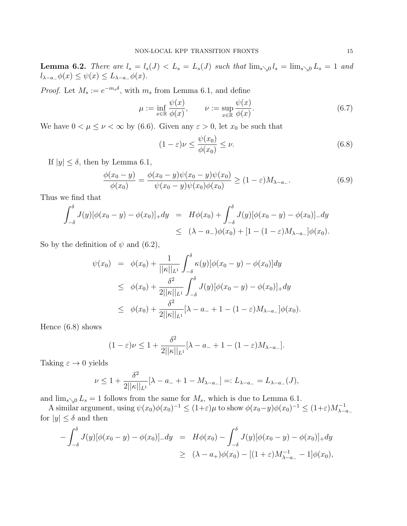**Lemma 6.2.** There are  $l_s = l_s(J) < L_s = L_s(J)$  such that  $\lim_{s \searrow 0} l_s = \lim_{s \searrow 0} L_s = 1$  and  $l_{\lambda-a_-}\phi(x) \leq \psi(x) \leq L_{\lambda-a_-}\phi(x)$ .

*Proof.* Let  $M_s := e^{-m_s \delta}$ , with  $m_s$  from Lemma 6.1, and define

$$
\mu := \inf_{x \in \mathbb{R}} \frac{\psi(x)}{\phi(x)}, \qquad \nu := \sup_{x \in \mathbb{R}} \frac{\psi(x)}{\phi(x)}.
$$
\n(6.7)

We have  $0 < \mu \leq \nu < \infty$  by (6.6). Given any  $\varepsilon > 0$ , let  $x_0$  be such that

$$
(1 - \varepsilon)\nu \le \frac{\psi(x_0)}{\phi(x_0)} \le \nu.
$$
\n(6.8)

If  $|y| \leq \delta$ , then by Lemma 6.1,

$$
\frac{\phi(x_0 - y)}{\phi(x_0)} = \frac{\phi(x_0 - y)\psi(x_0 - y)\psi(x_0)}{\psi(x_0 - y)\psi(x_0)\phi(x_0)} \ge (1 - \varepsilon)M_{\lambda - a_{-}}.
$$
\n(6.9)

Thus we find that

$$
\int_{-\delta}^{\delta} J(y)[\phi(x_0 - y) - \phi(x_0)]_+ dy = H\phi(x_0) + \int_{-\delta}^{\delta} J(y)[\phi(x_0 - y) - \phi(x_0)]_- dy
$$
  

$$
\leq (\lambda - a_-)\phi(x_0) + [1 - (1 - \varepsilon)M_{\lambda - a_-}]\phi(x_0).
$$

So by the definition of  $\psi$  and (6.2),

$$
\psi(x_0) = \phi(x_0) + \frac{1}{||\kappa||_{L^1}} \int_{-\delta}^{\delta} \kappa(y) [\phi(x_0 - y) - \phi(x_0)] dy
$$
  
\n
$$
\leq \phi(x_0) + \frac{\delta^2}{2||\kappa||_{L^1}} \int_{-\delta}^{\delta} J(y) [\phi(x_0 - y) - \phi(x_0)]_+ dy
$$
  
\n
$$
\leq \phi(x_0) + \frac{\delta^2}{2||\kappa||_{L^1}} [\lambda - a_- + 1 - (1 - \varepsilon) M_{\lambda - a_-}] \phi(x_0).
$$

Hence (6.8) shows

$$
(1-\varepsilon)\nu \le 1 + \frac{\delta^2}{2||\kappa||_{L^1}}[\lambda - a_- + 1 - (1-\varepsilon)M_{\lambda - a_-}].
$$

Taking  $\varepsilon \to 0$  yields

−

$$
\nu \le 1 + \frac{\delta^2}{2||\kappa||_{L^1}}[\lambda - a_- + 1 - M_{\lambda - a_-}] =: L_{\lambda - a_-} = L_{\lambda - a_-}(J),
$$

and  $\lim_{s\to 0} L_s = 1$  follows from the same for  $M_s$ , which is due to Lemma 6.1.

A similar argument, using  $\psi(x_0)\phi(x_0)^{-1} \leq (1+\varepsilon)\mu$  to show  $\phi(x_0-y)\phi(x_0)^{-1} \leq (1+\varepsilon)M_{\lambda-a-}^{-1}$ for  $|y| \leq \delta$  and then

$$
-\int_{-\delta}^{\delta} J(y)[\phi(x_0 - y) - \phi(x_0)]_{-}dy = H\phi(x_0) - \int_{-\delta}^{\delta} J(y)[\phi(x_0 - y) - \phi(x_0)]_{+}dy
$$
  

$$
\geq (\lambda - a_+)\phi(x_0) - [(1 + \varepsilon)M_{\lambda - a_-}^{-1} - 1]\phi(x_0),
$$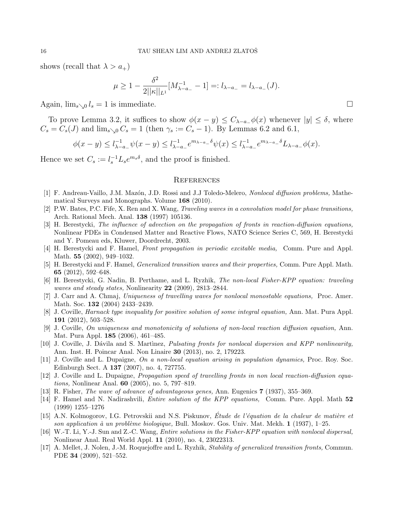shows (recall that  $\lambda > a_+$ )

$$
\mu \ge 1 - \frac{\delta^2}{2||\kappa||_{L^1}} [M_{\lambda - a_-}^{-1} - 1] =: l_{\lambda - a_-} = l_{\lambda - a_-}(J).
$$

Again,  $\lim_{s\to 0} l_s = 1$  is immediate.

To prove Lemma 3.2, it suffices to show  $\phi(x - y) \leq C_{\lambda - a}(\phi(x))$  whenever  $|y| \leq \delta$ , where  $C_s = C_s(J)$  and  $\lim_{s \searrow 0} C_s = 1$  (then  $\gamma_s := C_s - 1$ ). By Lemmas 6.2 and 6.1,

$$
\phi(x - y) \le l_{\lambda - a_-}^{-1} \psi(x - y) \le l_{\lambda - a_-}^{-1} e^{m_{\lambda - a_-} \delta} \psi(x) \le l_{\lambda - a_-}^{-1} e^{m_{\lambda - a_-} \delta} L_{\lambda - a_-} \phi(x).
$$

Hence we set  $C_s := l_s^{-1} L_s e^{m_s \delta}$ , and the proof is finished.

### **REFERENCES**

- [1] F. Andreau-Vaillo, J.M. Mazón, J.D. Rossi and J.J Toledo-Melero, Nonlocal diffusion problems, Mathematical Surveys and Monographs. Volume 168 (2010).
- [2] P.W. Bates, P.C. Fife, X. Ren and X. Wang, Traveling waves in a convolution model for phase transitions, Arch. Rational Mech. Anal. 138 (1997) 105136.
- [3] H. Berestycki, The influence of advection on the propagation of fronts in reaction-diffusion equations, Nonlinear PDEs in Condensed Matter and Reactive Flows, NATO Science Series C, 569, H. Berestycki and Y. Pomeau eds, Kluwer, Doordrecht, 2003.
- [4] H. Berestycki and F. Hamel, Front propagation in periodic excitable media, Comm. Pure and Appl. Math. 55 (2002), 949–1032.
- [5] H. Berestycki and F. Hamel, Generalized transition waves and their properties, Comm. Pure Appl. Math. 65 (2012), 592–648.
- [6] H. Berestycki, G. Nadin, B. Perthame, and L. Ryzhik, The non-local Fisher-KPP equation: traveling waves and steady states, Nonlinearity 22 (2009), 2813-2844.
- [7] J. Carr and A. Chmaj, Uniqueness of travelling waves for nonlocal monostable equations, Proc. Amer. Math. Soc. 132 (2004) 2433–2439.
- [8] J. Coville, Harnack type inequality for positive solution of some integral equation, Ann. Mat. Pura Appl. 191 (2012), 503–528.
- [9] J. Coville, On uniqueness and monotonicity of solutions of non-local reaction diffusion equation, Ann. Mat. Pura Appl. 185 (2006), 461–485.
- [10] J. Coville, J. Dávila and S. Martinez, *Pulsating fronts for nonlocal dispersion and KPP nonlinearity*, Ann. Inst. H. Poincar Anal. Non Linaire 30 (2013), no. 2, 179223.
- [11] J. Coville and L. Dupaigne, On a non-local equation arising in population dynamics, Proc. Roy. Soc. Edinburgh Sect. A 137 (2007), no. 4, 727755.
- [12] J. Coville and L. Dupaigne, Propagation speed of travelling fronts in non local reaction-diffusion equations, Nonlinear Anal. 60 (2005), no. 5, 797–819.
- [13] R. Fisher, *The wave of advance of advantageous genes*, Ann. Eugenics **7** (1937), 355–369.
- [14] F. Hamel and N. Nadirashvili, Entire solution of the KPP equations, Comm. Pure. Appl. Math 52 (1999) 1255–1276
- [15] A.N. Kolmogorov, I.G. Petrovskii and N.S. Piskunov, Étude de l'équation de la chaleur de matière et son application à un problème biologique, Bull. Moskov. Gos. Univ. Mat. Mekh.  $1$  (1937), 1–25.
- [16] W.-T. Li, Y.-J. Sun and Z.-C. Wang, Entire solutions in the Fisher-KPP equation with nonlocal dispersal, Nonlinear Anal. Real World Appl. 11 (2010), no. 4, 23022313.
- [17] A. Mellet, J. Nolen, J.-M. Roquejoffre and L. Ryzhik, Stability of generalized transition fronts, Commun. PDE 34 (2009), 521–552.